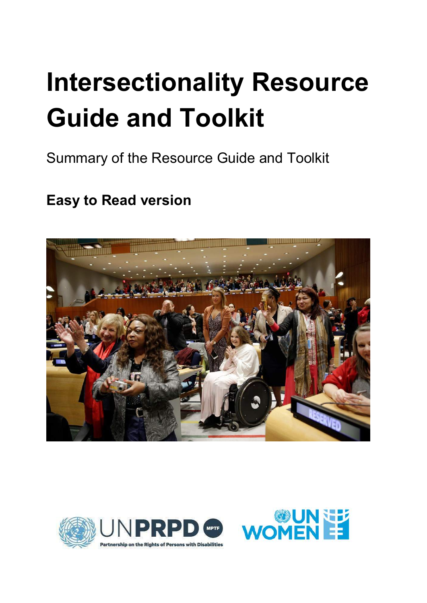# **Intersectionality Resource Guide and Toolkit**

Summary of the Resource Guide and Toolkit

# **Easy to Read version**





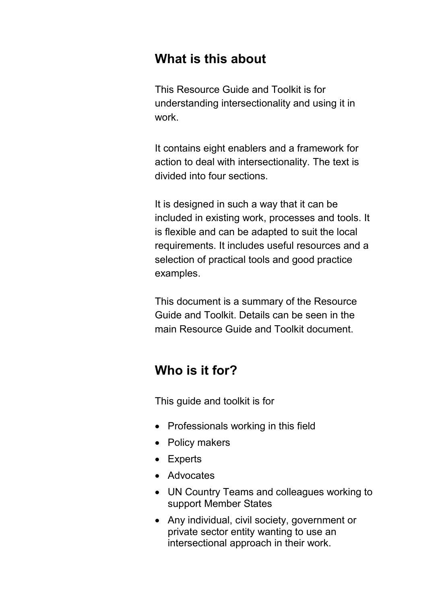# **What is this about**

This Resource Guide and Toolkit is for understanding intersectionality and using it in work.

It contains eight enablers and a framework for action to deal with intersectionality. The text is divided into four sections.

It is designed in such a way that it can be included in existing work, processes and tools. It is flexible and can be adapted to suit the local requirements. It includes useful resources and a selection of practical tools and good practice examples.

This document is a summary of the Resource Guide and Toolkit. Details can be seen in the main Resource Guide and Toolkit document.

# **Who is it for?**

This guide and toolkit is for

- Professionals working in this field
- Policy makers
- Experts
- Advocates
- UN Country Teams and colleagues working to support Member States
- Any individual, civil society, government or private sector entity wanting to use an intersectional approach in their work.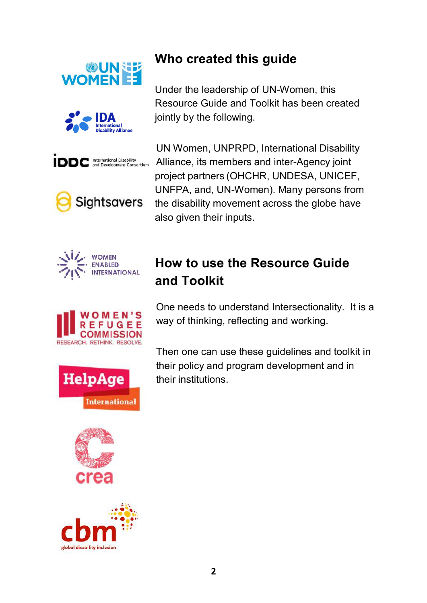

















# **Who created this guide**

Under the leadership of UN-Women, this Resource Guide and Toolkit has been created jointly by the following.

UN Women, UNPRPD, International Disability Alliance, its members and inter-Agency joint project partners (OHCHR, UNDESA, UNICEF, UNFPA, and, UN-Women). Many persons from the disability movement across the globe have also given their inputs.

# **How to use the Resource Guide and Toolkit**

One needs to understand Intersectionality. It is a way of thinking, reflecting and working.

Then one can use these guidelines and toolkit in their policy and program development and in their institutions.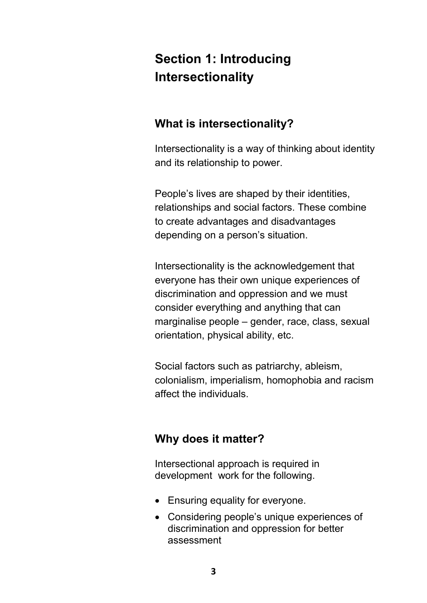# **Section 1: Introducing Intersectionality**

### **What is intersectionality?**

Intersectionality is a way of thinking about identity and its relationship to power.

People's lives are shaped by their identities, relationships and social factors. These combine to create advantages and disadvantages depending on a person's situation.

Intersectionality is the acknowledgement that everyone has their own unique experiences of discrimination and oppression and we must consider everything and anything that can marginalise people – gender, race, class, sexual orientation, physical ability, etc.

Social factors such as patriarchy, ableism, colonialism, imperialism, homophobia and racism affect the individuals.

### **Why does it matter?**

Intersectional approach is required in development work for the following.

- Ensuring equality for everyone.
- Considering people's unique experiences of discrimination and oppression for better assessment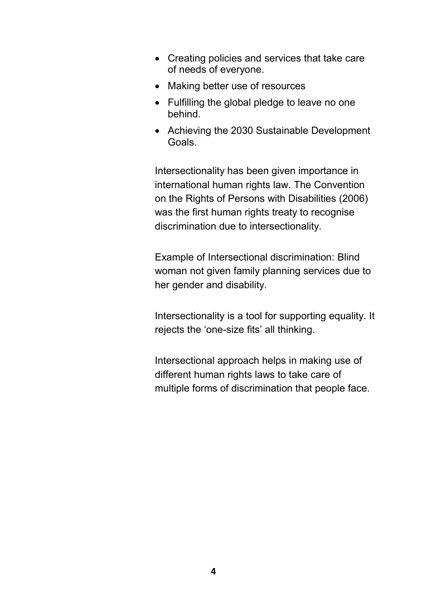- Creating policies and services that take care of needs of everyone.
- Making better use of resources
- Fulfilling the global pledge to leave no one behind.
- Achieving the 2030 Sustainable Development Goals.

Intersectionality has been given importance in international human rights law. The Convention on the Rights of Persons with Disabilities (2006) was the first human rights treaty to recognise discrimination due to intersectionality.

Example of Intersectional discrimination: Blind woman not given family planning services due to her gender and disability.

Intersectionality is a tool for supporting equality. It rejects the 'one-size fits' all thinking.

Intersectional approach helps in making use of different human rights laws to take care of multiple forms of discrimination that people face.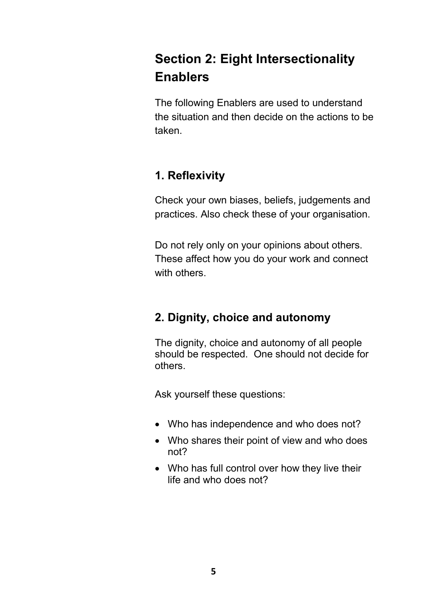# **Section 2: Eight Intersectionality Enablers**

The following Enablers are used to understand the situation and then decide on the actions to be taken.

# **1. Reflexivity**

Check your own biases, beliefs, judgements and practices. Also check these of your organisation.

Do not rely only on your opinions about others. These affect how you do your work and connect with others.

# **2. Dignity, choice and autonomy**

The dignity, choice and autonomy of all people should be respected. One should not decide for others.

- Who has independence and who does not?
- Who shares their point of view and who does not?
- Who has full control over how they live their life and who does not?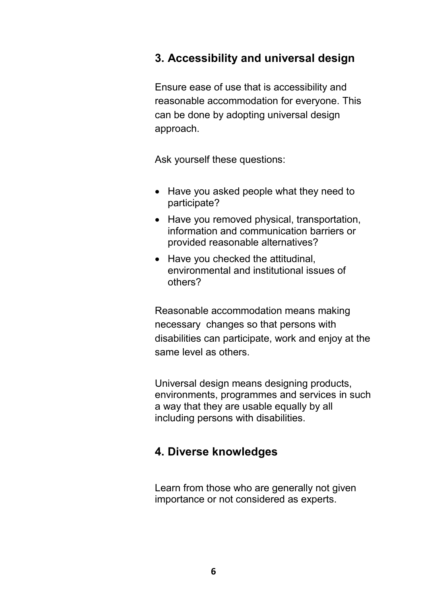### **3. Accessibility and universal design**

Ensure ease of use that is accessibility and reasonable accommodation for everyone. This can be done by adopting universal design approach.

Ask yourself these questions:

- Have you asked people what they need to participate?
- Have you removed physical, transportation, information and communication barriers or provided reasonable alternatives?
- Have you checked the attitudinal, environmental and institutional issues of others?

Reasonable accommodation means making necessary changes so that persons with disabilities can participate, work and enjoy at the same level as others.

Universal design means designing products, environments, programmes and services in such a way that they are usable equally by all including persons with disabilities.

### **4. Diverse knowledges**

Learn from those who are generally not given importance or not considered as experts.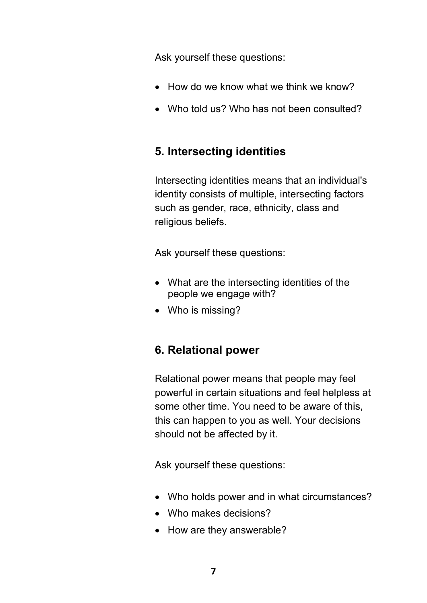Ask yourself these questions:

- How do we know what we think we know?
- Who told us? Who has not been consulted?

### **5. Intersecting identities**

Intersecting identities means that an individual's identity consists of multiple, intersecting factors such as gender, race, ethnicity, class and religious beliefs.

Ask yourself these questions:

- What are the intersecting identities of the people we engage with?
- Who is missing?

# **6. Relational power**

Relational power means that people may feel powerful in certain situations and feel helpless at some other time. You need to be aware of this, this can happen to you as well. Your decisions should not be affected by it.

- Who holds power and in what circumstances?
- Who makes decisions?
- How are they answerable?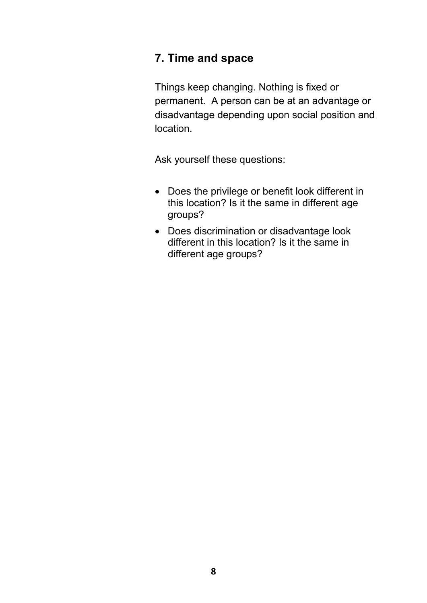### **7. Time and space**

Things keep changing. Nothing is fixed or permanent. A person can be at an advantage or disadvantage depending upon social position and location.

- Does the privilege or benefit look different in this location? Is it the same in different age groups?
- Does discrimination or disadvantage look different in this location? Is it the same in different age groups?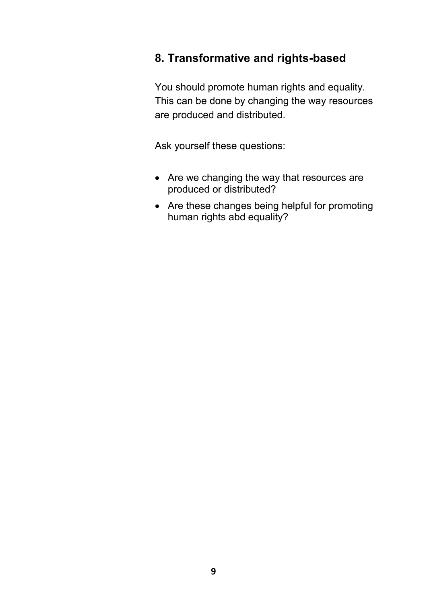### **8. Transformative and rights-based**

You should promote human rights and equality. This can be done by changing the way resources are produced and distributed.

- Are we changing the way that resources are produced or distributed?
- Are these changes being helpful for promoting human rights abd equality?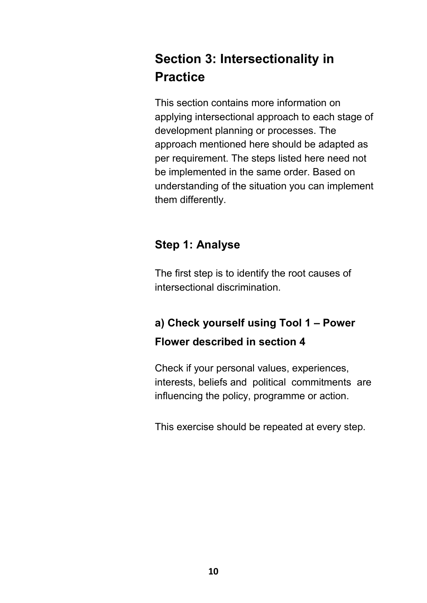# **Section 3: Intersectionality in Practice**

This section contains more information on applying intersectional approach to each stage of development planning or processes. The approach mentioned here should be adapted as per requirement. The steps listed here need not be implemented in the same order. Based on understanding of the situation you can implement them differently.

### **Step 1: Analyse**

The first step is to identify the root causes of intersectional discrimination.

# **a) Check yourself using Tool 1 – Power Flower described in section 4**

Check if your personal values, experiences, interests, beliefs and political commitments are influencing the policy, programme or action.

This exercise should be repeated at every step.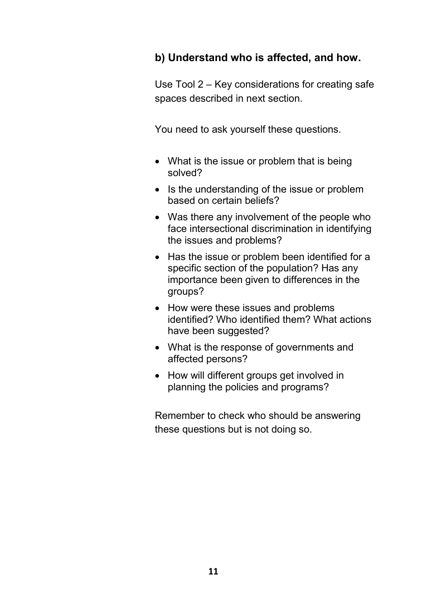#### **b) Understand who is affected, and how.**

Use Tool 2 – Key considerations for creating safe spaces described in next section.

You need to ask yourself these questions.

- What is the issue or problem that is being solved?
- Is the understanding of the issue or problem based on certain beliefs?
- Was there any involvement of the people who face intersectional discrimination in identifying the issues and problems?
- Has the issue or problem been identified for a specific section of the population? Has any importance been given to differences in the groups?
- How were these issues and problems identified? Who identified them? What actions have been suggested?
- What is the response of governments and affected persons?
- How will different groups get involved in planning the policies and programs?

Remember to check who should be answering these questions but is not doing so.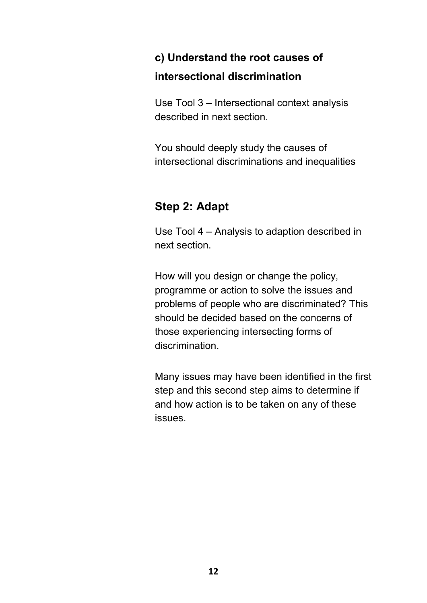# **c) Understand the root causes of intersectional discrimination**

Use Tool 3 – Intersectional context analysis described in next section.

You should deeply study the causes of intersectional discriminations and inequalities

### **Step 2: Adapt**

Use Tool 4 – Analysis to adaption described in next section.

How will you design or change the policy, programme or action to solve the issues and problems of people who are discriminated? This should be decided based on the concerns of those experiencing intersecting forms of discrimination.

Many issues may have been identified in the first step and this second step aims to determine if and how action is to be taken on any of these issues.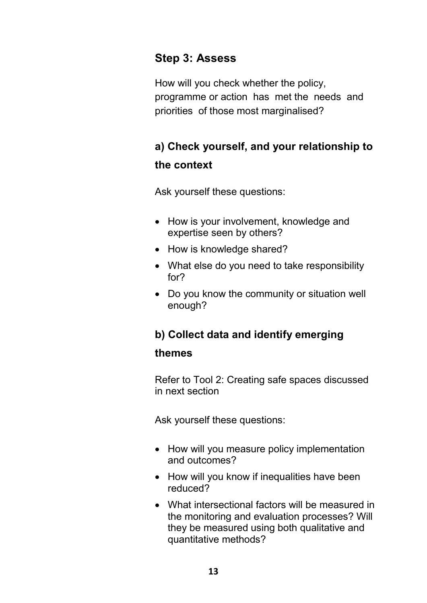### **Step 3: Assess**

How will you check whether the policy, programme or action has met the needs and priorities of those most marginalised?

# **a) Check yourself, and your relationship to the context**

Ask yourself these questions:

- How is your involvement, knowledge and expertise seen by others?
- How is knowledge shared?
- What else do you need to take responsibility for?
- Do you know the community or situation well enough?

# **b) Collect data and identify emerging themes**

Refer to Tool 2: Creating safe spaces discussed in next section

- How will you measure policy implementation and outcomes?
- How will you know if inequalities have been reduced?
- What intersectional factors will be measured in the monitoring and evaluation processes? Will they be measured using both qualitative and quantitative methods?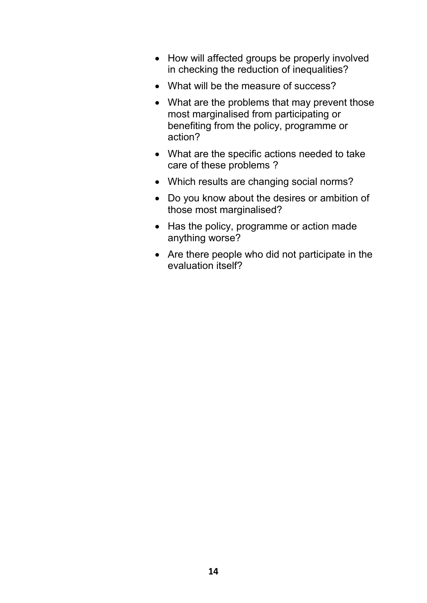- How will affected groups be properly involved in checking the reduction of inequalities?
- What will be the measure of success?
- What are the problems that may prevent those most marginalised from participating or benefiting from the policy, programme or action?
- What are the specific actions needed to take care of these problems ?
- Which results are changing social norms?
- Do you know about the desires or ambition of those most marginalised?
- Has the policy, programme or action made anything worse?
- Are there people who did not participate in the evaluation itself?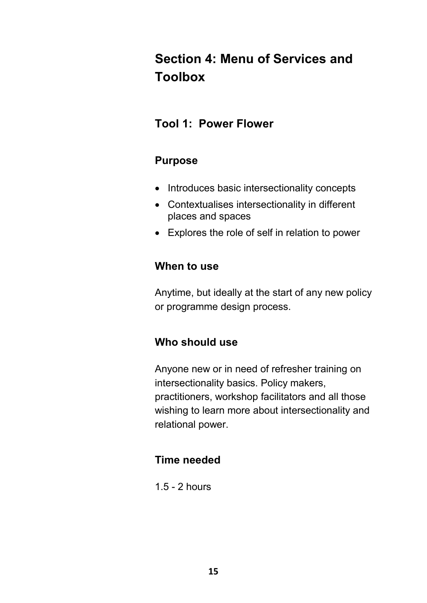# **Section 4: Menu of Services and Toolbox**

### **Tool 1: Power Flower**

#### **Purpose**

- Introduces basic intersectionality concepts
- Contextualises intersectionality in different places and spaces
- Explores the role of self in relation to power

#### **When to use**

Anytime, but ideally at the start of any new policy or programme design process.

# **Who should use**

Anyone new or in need of refresher training on intersectionality basics. Policy makers, practitioners, workshop facilitators and all those wishing to learn more about intersectionality and relational power.

### **Time needed**

1.5 - 2 hours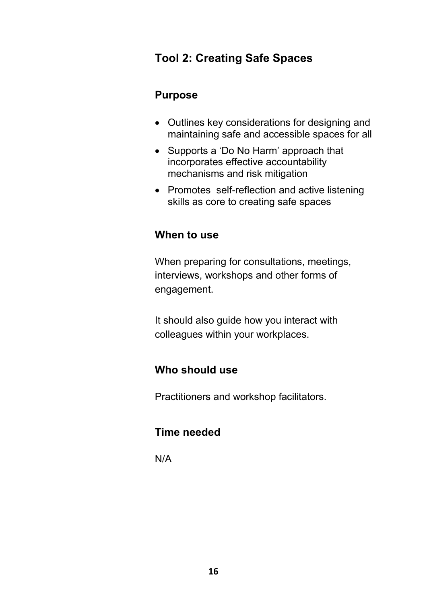### **Tool 2: Creating Safe Spaces**

#### **Purpose**

- Outlines key considerations for designing and maintaining safe and accessible spaces for all
- Supports a 'Do No Harm' approach that incorporates effective accountability mechanisms and risk mitigation
- Promotes self-reflection and active listening skills as core to creating safe spaces

#### **When to use**

When preparing for consultations, meetings, interviews, workshops and other forms of engagement.

It should also guide how you interact with colleagues within your workplaces.

#### **Who should use**

Practitioners and workshop facilitators.

#### **Time needed**

N/A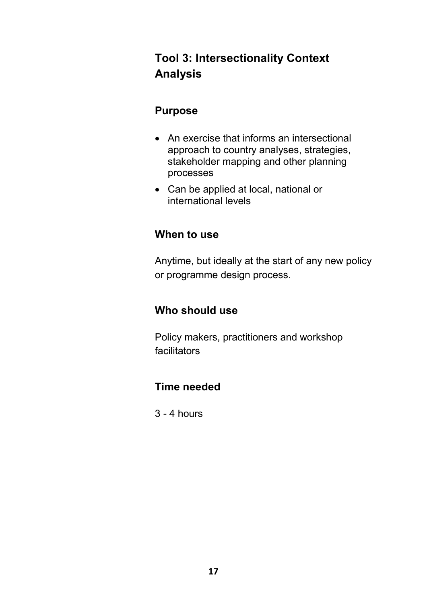# **Tool 3: Intersectionality Context Analysis**

#### **Purpose**

- An exercise that informs an intersectional approach to country analyses, strategies, stakeholder mapping and other planning processes
- Can be applied at local, national or international levels

#### **When to use**

Anytime, but ideally at the start of any new policy or programme design process.

### **Who should use**

Policy makers, practitioners and workshop facilitators

### **Time needed**

3 - 4 hours